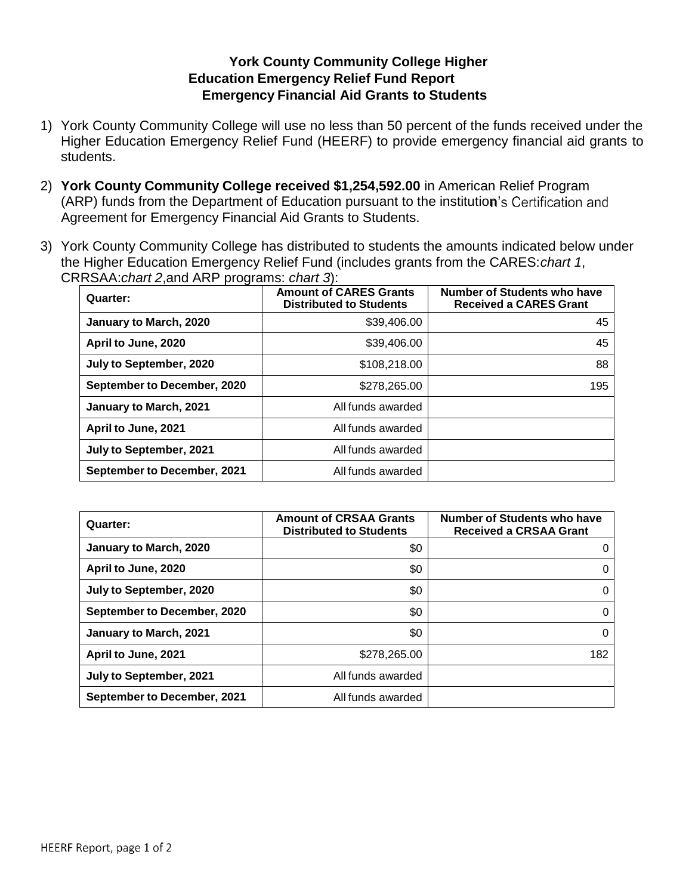## **York County Community College Higher Education Emergency Relief Fund Report Emergency Financial Aid Grants to Students**

- 1) York County Community College will use no less than 50 percent of the funds received under the Higher Education Emergency Relief Fund (HEERF) to provide emergency financial aid grants to students.
- 2) **York County Community College received \$1,254,592.00** in American Relief Program (ARP) funds from the Department of Education pursuant to the institution's Certification and Agreement for Emergency Financial Aid Grants to Students.
- 3) York County Community College has distributed to students the amounts indicated below under the Higher Education Emergency Relief Fund (includes grants from the CARES:*chart 1*, CRRSAA:*chart 2*,and ARP programs: *chart 3*):

| Quarter:                           | <b>Amount of CARES Grants</b><br><b>Distributed to Students</b> | Number of Students who have<br><b>Received a CARES Grant</b> |
|------------------------------------|-----------------------------------------------------------------|--------------------------------------------------------------|
| January to March, 2020             | \$39,406.00                                                     | 45                                                           |
| April to June, 2020                | \$39,406.00                                                     | 45                                                           |
| July to September, 2020            | \$108,218,00                                                    | 88                                                           |
| <b>September to December, 2020</b> | \$278,265,00                                                    | 195                                                          |
| January to March, 2021             | All funds awarded                                               |                                                              |
| April to June, 2021                | All funds awarded                                               |                                                              |
| July to September, 2021            | All funds awarded                                               |                                                              |
| September to December, 2021        | All funds awarded                                               |                                                              |

| Quarter:                           | <b>Amount of CRSAA Grants</b><br><b>Distributed to Students</b> | <b>Number of Students who have</b><br><b>Received a CRSAA Grant</b> |
|------------------------------------|-----------------------------------------------------------------|---------------------------------------------------------------------|
| January to March, 2020             | \$0                                                             |                                                                     |
| April to June, 2020                | \$0                                                             |                                                                     |
| July to September, 2020            | \$0                                                             | 0                                                                   |
| September to December, 2020        | \$0                                                             | 0                                                                   |
| January to March, 2021             | \$0                                                             | 0                                                                   |
| April to June, 2021                | \$278,265.00                                                    | 182                                                                 |
| July to September, 2021            | All funds awarded                                               |                                                                     |
| <b>September to December, 2021</b> | All funds awarded                                               |                                                                     |